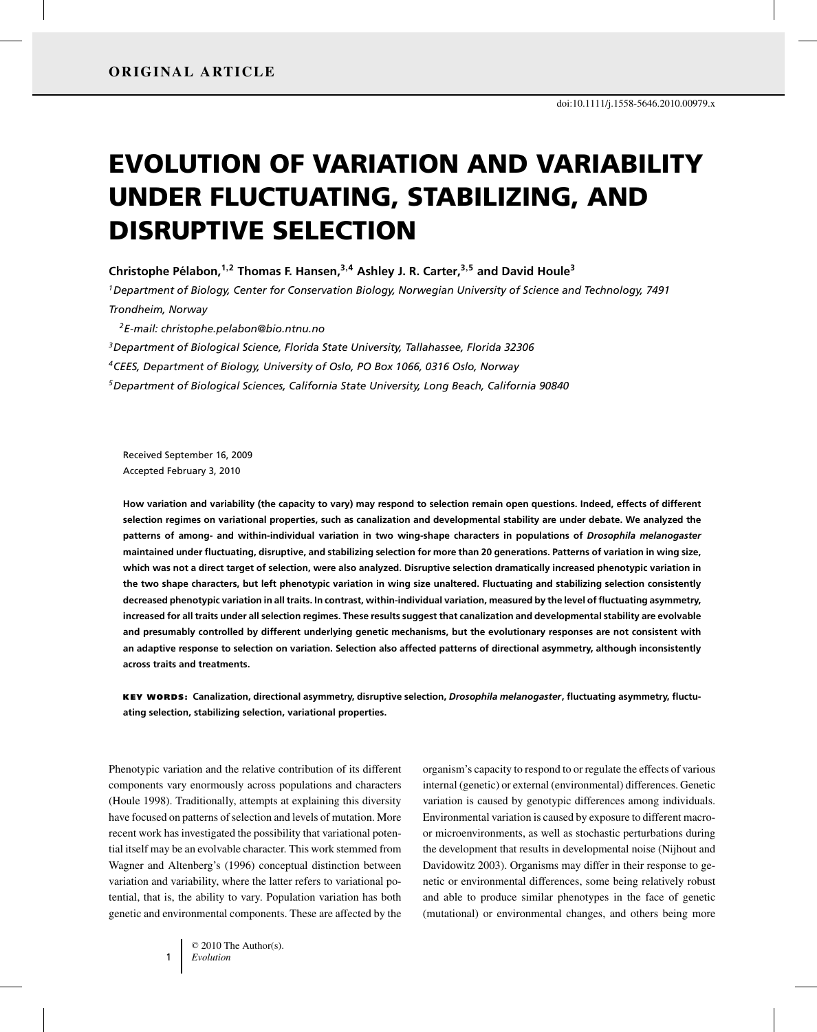# EVOLUTION OF VARIATION AND VARIABILITY UNDER FLUCTUATING, STABILIZING, AND DISRUPTIVE SELECTION

**Christophe Pelabon, ´ <sup>1</sup>,<sup>2</sup> Thomas F. Hansen,3,<sup>4</sup> Ashley J. R. Carter,3,<sup>5</sup> and David Houle3**

*1Department of Biology, Center for Conservation Biology, Norwegian University of Science and Technology, 7491 Trondheim, Norway*

*2E-mail: christophe.pelabon@bio.ntnu.no*

*3Department of Biological Science, Florida State University, Tallahassee, Florida 32306*

*4CEES, Department of Biology, University of Oslo, PO Box 1066, 0316 Oslo, Norway*

*5Department of Biological Sciences, California State University, Long Beach, California 90840*

Received September 16, 2009 Accepted February 3, 2010

**How variation and variability (the capacity to vary) may respond to selection remain open questions. Indeed, effects of different selection regimes on variational properties, such as canalization and developmental stability are under debate. We analyzed the patterns of among- and within-individual variation in two wing-shape characters in populations of** *Drosophila melanogaster* **maintained under fluctuating, disruptive, and stabilizing selection for more than 20 generations. Patterns of variation in wing size, which was not a direct target of selection, were also analyzed. Disruptive selection dramatically increased phenotypic variation in the two shape characters, but left phenotypic variation in wing size unaltered. Fluctuating and stabilizing selection consistently decreased phenotypic variation in all traits. In contrast, within-individual variation, measured by the level of fluctuating asymmetry, increased for all traits under all selection regimes. These results suggest that canalization and developmental stability are evolvable and presumably controlled by different underlying genetic mechanisms, but the evolutionary responses are not consistent with an adaptive response to selection on variation. Selection also affected patterns of directional asymmetry, although inconsistently across traits and treatments.**

KEY WORDS: **Canalization, directional asymmetry, disruptive selection,** *Drosophila melanogaster***, fluctuating asymmetry, fluctuating selection, stabilizing selection, variational properties.**

Phenotypic variation and the relative contribution of its different components vary enormously across populations and characters (Houle 1998). Traditionally, attempts at explaining this diversity have focused on patterns of selection and levels of mutation. More recent work has investigated the possibility that variational potential itself may be an evolvable character. This work stemmed from Wagner and Altenberg's (1996) conceptual distinction between variation and variability, where the latter refers to variational potential, that is, the ability to vary. Population variation has both genetic and environmental components. These are affected by the

> 1 © 2010 The Author(s). *Evolution*

organism's capacity to respond to or regulate the effects of various internal (genetic) or external (environmental) differences. Genetic variation is caused by genotypic differences among individuals. Environmental variation is caused by exposure to different macroor microenvironments, as well as stochastic perturbations during the development that results in developmental noise (Nijhout and Davidowitz 2003). Organisms may differ in their response to genetic or environmental differences, some being relatively robust and able to produce similar phenotypes in the face of genetic (mutational) or environmental changes, and others being more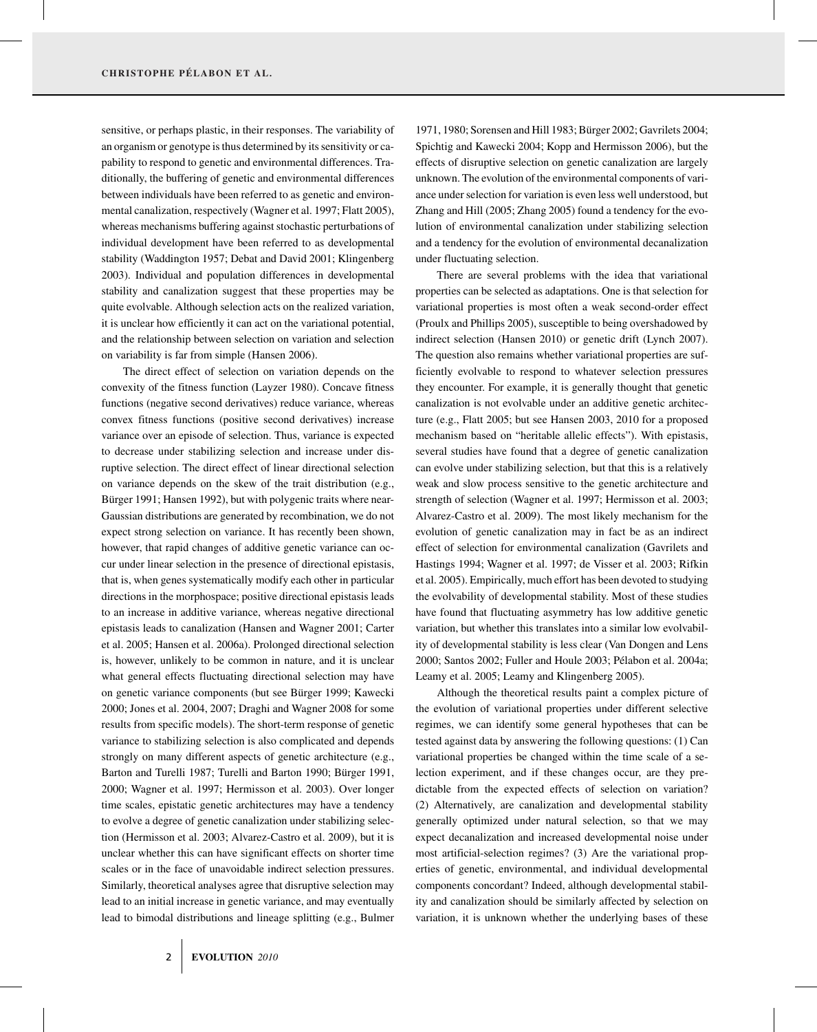sensitive, or perhaps plastic, in their responses. The variability of an organism or genotype is thus determined by its sensitivity or capability to respond to genetic and environmental differences. Traditionally, the buffering of genetic and environmental differences between individuals have been referred to as genetic and environmental canalization, respectively (Wagner et al. 1997; Flatt 2005), whereas mechanisms buffering against stochastic perturbations of individual development have been referred to as developmental stability (Waddington 1957; Debat and David 2001; Klingenberg 2003). Individual and population differences in developmental stability and canalization suggest that these properties may be quite evolvable. Although selection acts on the realized variation, it is unclear how efficiently it can act on the variational potential, and the relationship between selection on variation and selection on variability is far from simple (Hansen 2006).

The direct effect of selection on variation depends on the convexity of the fitness function (Layzer 1980). Concave fitness functions (negative second derivatives) reduce variance, whereas convex fitness functions (positive second derivatives) increase variance over an episode of selection. Thus, variance is expected to decrease under stabilizing selection and increase under disruptive selection. The direct effect of linear directional selection on variance depends on the skew of the trait distribution (e.g., Bürger 1991; Hansen 1992), but with polygenic traits where near-Gaussian distributions are generated by recombination, we do not expect strong selection on variance. It has recently been shown, however, that rapid changes of additive genetic variance can occur under linear selection in the presence of directional epistasis, that is, when genes systematically modify each other in particular directions in the morphospace; positive directional epistasis leads to an increase in additive variance, whereas negative directional epistasis leads to canalization (Hansen and Wagner 2001; Carter et al. 2005; Hansen et al. 2006a). Prolonged directional selection is, however, unlikely to be common in nature, and it is unclear what general effects fluctuating directional selection may have on genetic variance components (but see Bürger 1999; Kawecki 2000; Jones et al. 2004, 2007; Draghi and Wagner 2008 for some results from specific models). The short-term response of genetic variance to stabilizing selection is also complicated and depends strongly on many different aspects of genetic architecture (e.g., Barton and Turelli 1987; Turelli and Barton 1990; Bürger 1991, 2000; Wagner et al. 1997; Hermisson et al. 2003). Over longer time scales, epistatic genetic architectures may have a tendency to evolve a degree of genetic canalization under stabilizing selection (Hermisson et al. 2003; Alvarez-Castro et al. 2009), but it is unclear whether this can have significant effects on shorter time scales or in the face of unavoidable indirect selection pressures. Similarly, theoretical analyses agree that disruptive selection may lead to an initial increase in genetic variance, and may eventually lead to bimodal distributions and lineage splitting (e.g., Bulmer 1971, 1980; Sorensen and Hill 1983; Burger 2002; Gavrilets 2004; ¨ Spichtig and Kawecki 2004; Kopp and Hermisson 2006), but the effects of disruptive selection on genetic canalization are largely unknown. The evolution of the environmental components of variance under selection for variation is even less well understood, but Zhang and Hill (2005; Zhang 2005) found a tendency for the evolution of environmental canalization under stabilizing selection and a tendency for the evolution of environmental decanalization under fluctuating selection.

There are several problems with the idea that variational properties can be selected as adaptations. One is that selection for variational properties is most often a weak second-order effect (Proulx and Phillips 2005), susceptible to being overshadowed by indirect selection (Hansen 2010) or genetic drift (Lynch 2007). The question also remains whether variational properties are sufficiently evolvable to respond to whatever selection pressures they encounter. For example, it is generally thought that genetic canalization is not evolvable under an additive genetic architecture (e.g., Flatt 2005; but see Hansen 2003, 2010 for a proposed mechanism based on "heritable allelic effects"). With epistasis, several studies have found that a degree of genetic canalization can evolve under stabilizing selection, but that this is a relatively weak and slow process sensitive to the genetic architecture and strength of selection (Wagner et al. 1997; Hermisson et al. 2003; Alvarez-Castro et al. 2009). The most likely mechanism for the evolution of genetic canalization may in fact be as an indirect effect of selection for environmental canalization (Gavrilets and Hastings 1994; Wagner et al. 1997; de Visser et al. 2003; Rifkin et al. 2005). Empirically, much effort has been devoted to studying the evolvability of developmental stability. Most of these studies have found that fluctuating asymmetry has low additive genetic variation, but whether this translates into a similar low evolvability of developmental stability is less clear (Van Dongen and Lens 2000; Santos 2002; Fuller and Houle 2003; Pelabon et al. 2004a; ´ Leamy et al. 2005; Leamy and Klingenberg 2005).

Although the theoretical results paint a complex picture of the evolution of variational properties under different selective regimes, we can identify some general hypotheses that can be tested against data by answering the following questions: (1) Can variational properties be changed within the time scale of a selection experiment, and if these changes occur, are they predictable from the expected effects of selection on variation? (2) Alternatively, are canalization and developmental stability generally optimized under natural selection, so that we may expect decanalization and increased developmental noise under most artificial-selection regimes? (3) Are the variational properties of genetic, environmental, and individual developmental components concordant? Indeed, although developmental stability and canalization should be similarly affected by selection on variation, it is unknown whether the underlying bases of these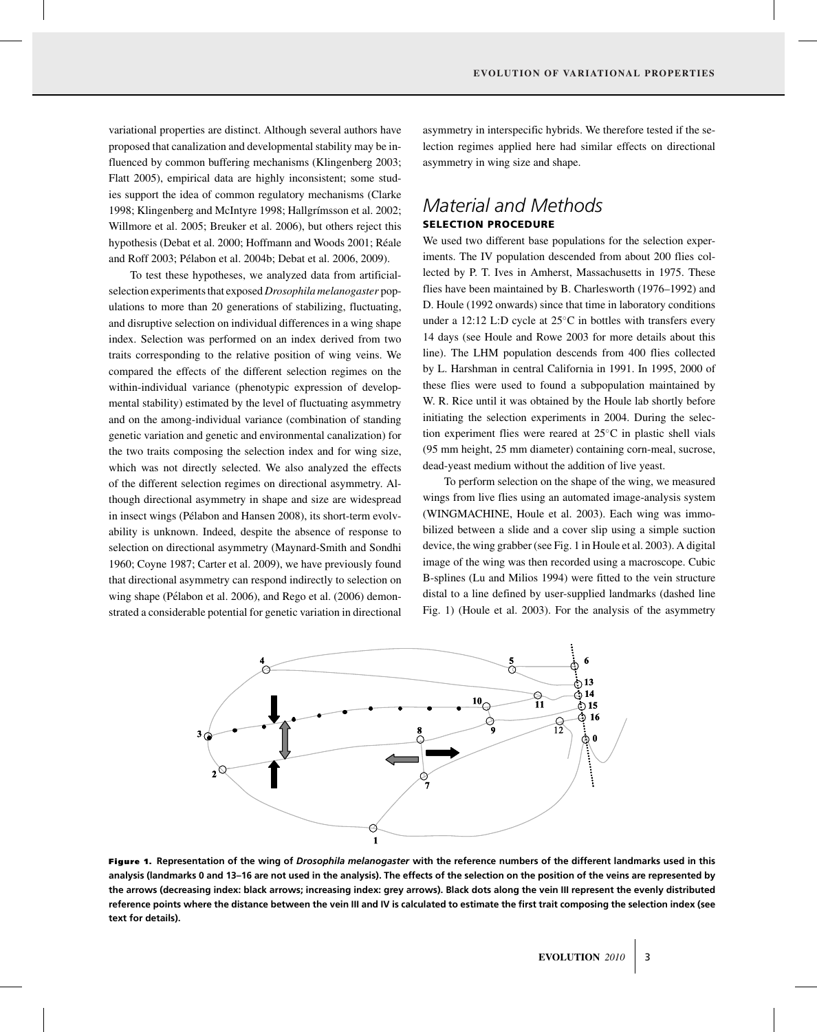variational properties are distinct. Although several authors have proposed that canalization and developmental stability may be influenced by common buffering mechanisms (Klingenberg 2003; Flatt 2005), empirical data are highly inconsistent; some studies support the idea of common regulatory mechanisms (Clarke 1998; Klingenberg and McIntyre 1998; Hallgrímsson et al. 2002; Willmore et al. 2005; Breuker et al. 2006), but others reject this hypothesis (Debat et al. 2000; Hoffmann and Woods 2001; Réale and Roff 2003; Pélabon et al. 2004b; Debat et al. 2006, 2009).

To test these hypotheses, we analyzed data from artificialselection experiments that exposed *Drosophila melanogaster* populations to more than 20 generations of stabilizing, fluctuating, and disruptive selection on individual differences in a wing shape index. Selection was performed on an index derived from two traits corresponding to the relative position of wing veins. We compared the effects of the different selection regimes on the within-individual variance (phenotypic expression of developmental stability) estimated by the level of fluctuating asymmetry and on the among-individual variance (combination of standing genetic variation and genetic and environmental canalization) for the two traits composing the selection index and for wing size, which was not directly selected. We also analyzed the effects of the different selection regimes on directional asymmetry. Although directional asymmetry in shape and size are widespread in insect wings (Pélabon and Hansen 2008), its short-term evolvability is unknown. Indeed, despite the absence of response to selection on directional asymmetry (Maynard-Smith and Sondhi 1960; Coyne 1987; Carter et al. 2009), we have previously found that directional asymmetry can respond indirectly to selection on wing shape (Pélabon et al. 2006), and Rego et al. (2006) demonstrated a considerable potential for genetic variation in directional

asymmetry in interspecific hybrids. We therefore tested if the selection regimes applied here had similar effects on directional asymmetry in wing size and shape.

## *Material and Methods* SELECTION PROCEDURE

We used two different base populations for the selection experiments. The IV population descended from about 200 flies collected by P. T. Ives in Amherst, Massachusetts in 1975. These flies have been maintained by B. Charlesworth (1976–1992) and D. Houle (1992 onwards) since that time in laboratory conditions under a 12:12 L:D cycle at 25◦C in bottles with transfers every 14 days (see Houle and Rowe 2003 for more details about this line). The LHM population descends from 400 flies collected by L. Harshman in central California in 1991. In 1995, 2000 of these flies were used to found a subpopulation maintained by W. R. Rice until it was obtained by the Houle lab shortly before initiating the selection experiments in 2004. During the selection experiment flies were reared at 25◦C in plastic shell vials (95 mm height, 25 mm diameter) containing corn-meal, sucrose, dead-yeast medium without the addition of live yeast.

To perform selection on the shape of the wing, we measured wings from live flies using an automated image-analysis system (WINGMACHINE, Houle et al. 2003). Each wing was immobilized between a slide and a cover slip using a simple suction device, the wing grabber (see Fig. 1 in Houle et al. 2003). A digital image of the wing was then recorded using a macroscope. Cubic B-splines (Lu and Milios 1994) were fitted to the vein structure distal to a line defined by user-supplied landmarks (dashed line Fig. 1) (Houle et al. 2003). For the analysis of the asymmetry



Figure 1. **Representation of the wing of** *Drosophila melanogaster* **with the reference numbers of the different landmarks used in this analysis (landmarks 0 and 13–16 are not used in the analysis). The effects of the selection on the position of the veins are represented by the arrows (decreasing index: black arrows; increasing index: grey arrows). Black dots along the vein III represent the evenly distributed reference points where the distance between the vein III and IV is calculated to estimate the first trait composing the selection index (see text for details).**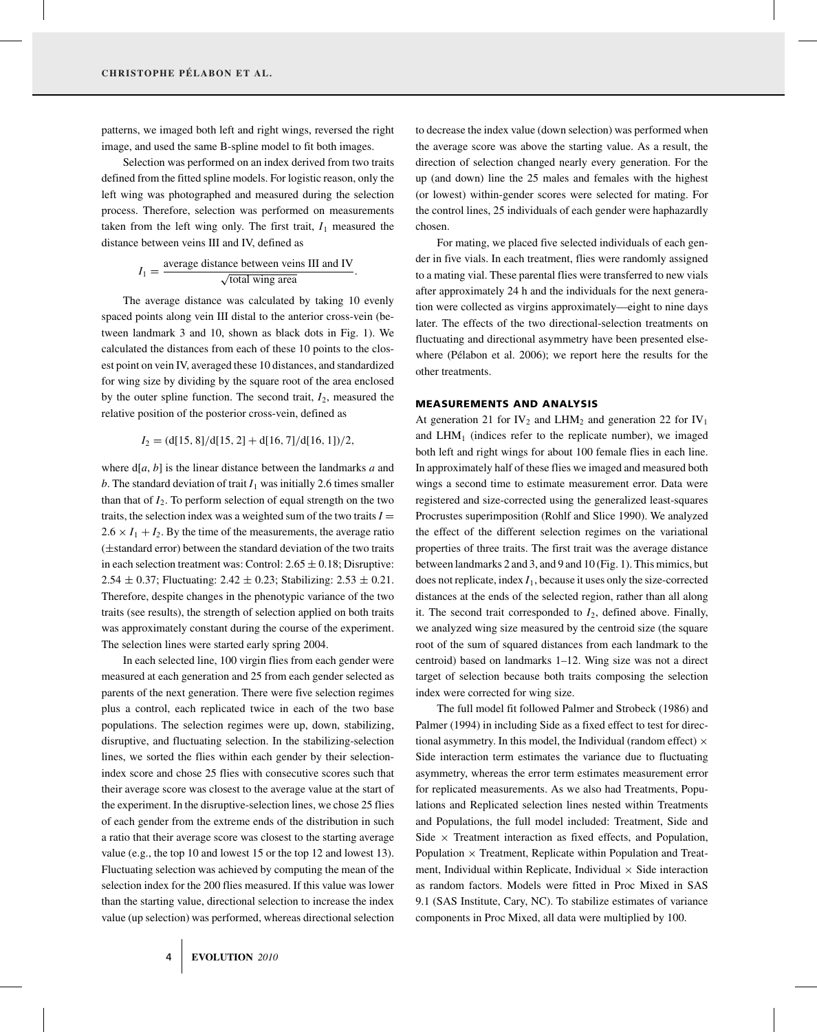patterns, we imaged both left and right wings, reversed the right image, and used the same B-spline model to fit both images.

Selection was performed on an index derived from two traits defined from the fitted spline models. For logistic reason, only the left wing was photographed and measured during the selection process. Therefore, selection was performed on measurements taken from the left wing only. The first trait,  $I_1$  measured the distance between veins III and IV, defined as

$$
I_1 = \frac{\text{average distance between views III and IV}}{\sqrt{\text{total wing area}}}.
$$

The average distance was calculated by taking 10 evenly spaced points along vein III distal to the anterior cross-vein (between landmark 3 and 10, shown as black dots in Fig. 1). We calculated the distances from each of these 10 points to the closest point on vein IV, averaged these 10 distances, and standardized for wing size by dividing by the square root of the area enclosed by the outer spline function. The second trait, *I*2, measured the relative position of the posterior cross-vein, defined as

$$
I_2 = (d[15, 8]/d[15, 2] + d[16, 7]/d[16, 1])/2,
$$

where d[*a*, *b*] is the linear distance between the landmarks *a* and *b*. The standard deviation of trait  $I_1$  was initially 2.6 times smaller than that of  $I_2$ . To perform selection of equal strength on the two traits, the selection index was a weighted sum of the two traits  $I =$  $2.6 \times I_1 + I_2$ . By the time of the measurements, the average ratio (±standard error) between the standard deviation of the two traits in each selection treatment was: Control:  $2.65 \pm 0.18$ ; Disruptive: 2.54  $\pm$  0.37; Fluctuating: 2.42  $\pm$  0.23; Stabilizing: 2.53  $\pm$  0.21. Therefore, despite changes in the phenotypic variance of the two traits (see results), the strength of selection applied on both traits was approximately constant during the course of the experiment. The selection lines were started early spring 2004.

In each selected line, 100 virgin flies from each gender were measured at each generation and 25 from each gender selected as parents of the next generation. There were five selection regimes plus a control, each replicated twice in each of the two base populations. The selection regimes were up, down, stabilizing, disruptive, and fluctuating selection. In the stabilizing-selection lines, we sorted the flies within each gender by their selectionindex score and chose 25 flies with consecutive scores such that their average score was closest to the average value at the start of the experiment. In the disruptive-selection lines, we chose 25 flies of each gender from the extreme ends of the distribution in such a ratio that their average score was closest to the starting average value (e.g., the top 10 and lowest 15 or the top 12 and lowest 13). Fluctuating selection was achieved by computing the mean of the selection index for the 200 flies measured. If this value was lower than the starting value, directional selection to increase the index value (up selection) was performed, whereas directional selection to decrease the index value (down selection) was performed when the average score was above the starting value. As a result, the direction of selection changed nearly every generation. For the up (and down) line the 25 males and females with the highest (or lowest) within-gender scores were selected for mating. For the control lines, 25 individuals of each gender were haphazardly chosen.

For mating, we placed five selected individuals of each gender in five vials. In each treatment, flies were randomly assigned to a mating vial. These parental flies were transferred to new vials after approximately 24 h and the individuals for the next generation were collected as virgins approximately—eight to nine days later. The effects of the two directional-selection treatments on fluctuating and directional asymmetry have been presented elsewhere (Pélabon et al. 2006); we report here the results for the other treatments.

#### MEASUREMENTS AND ANALYSIS

At generation 21 for  $IV_2$  and LHM<sub>2</sub> and generation 22 for  $IV_1$ and  $LHM<sub>1</sub>$  (indices refer to the replicate number), we imaged both left and right wings for about 100 female flies in each line. In approximately half of these flies we imaged and measured both wings a second time to estimate measurement error. Data were registered and size-corrected using the generalized least-squares Procrustes superimposition (Rohlf and Slice 1990). We analyzed the effect of the different selection regimes on the variational properties of three traits. The first trait was the average distance between landmarks 2 and 3, and 9 and 10 (Fig. 1). This mimics, but does not replicate, index  $I_1$ , because it uses only the size-corrected distances at the ends of the selected region, rather than all along it. The second trait corresponded to  $I_2$ , defined above. Finally, we analyzed wing size measured by the centroid size (the square root of the sum of squared distances from each landmark to the centroid) based on landmarks 1–12. Wing size was not a direct target of selection because both traits composing the selection index were corrected for wing size.

The full model fit followed Palmer and Strobeck (1986) and Palmer (1994) in including Side as a fixed effect to test for directional asymmetry. In this model, the Individual (random effect)  $\times$ Side interaction term estimates the variance due to fluctuating asymmetry, whereas the error term estimates measurement error for replicated measurements. As we also had Treatments, Populations and Replicated selection lines nested within Treatments and Populations, the full model included: Treatment, Side and Side  $\times$  Treatment interaction as fixed effects, and Population, Population  $\times$  Treatment, Replicate within Population and Treatment, Individual within Replicate, Individual  $\times$  Side interaction as random factors. Models were fitted in Proc Mixed in SAS 9.1 (SAS Institute, Cary, NC). To stabilize estimates of variance components in Proc Mixed, all data were multiplied by 100.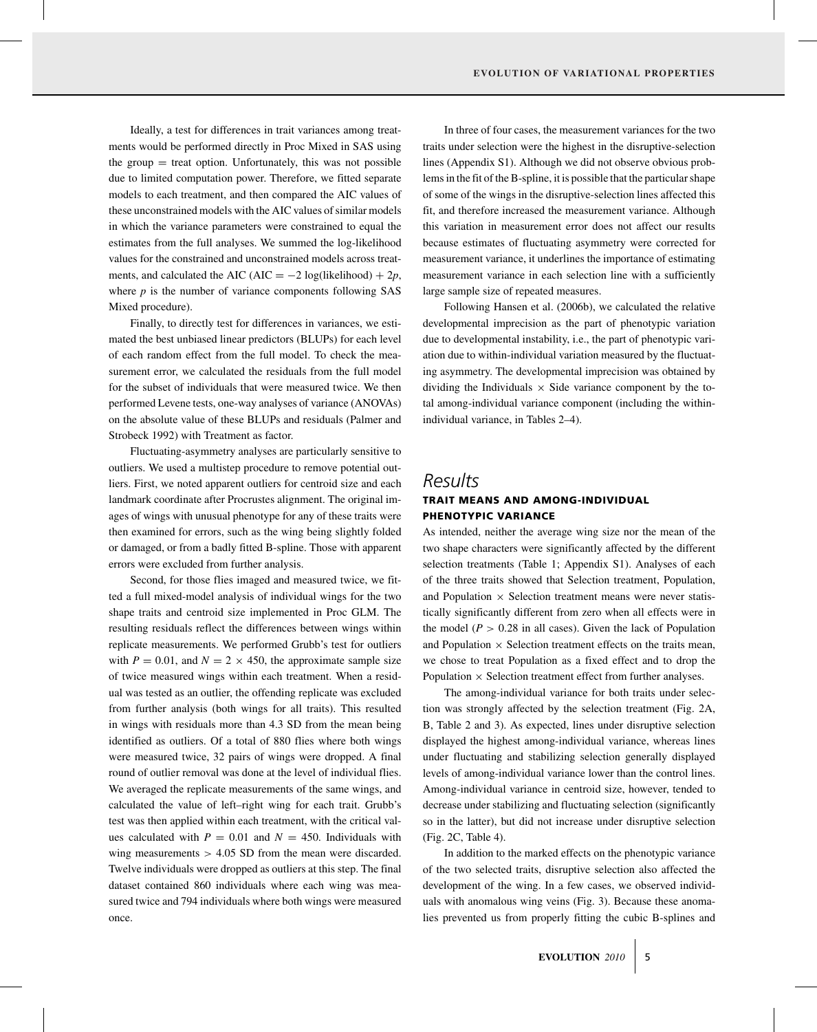Ideally, a test for differences in trait variances among treatments would be performed directly in Proc Mixed in SAS using the group  $=$  treat option. Unfortunately, this was not possible due to limited computation power. Therefore, we fitted separate models to each treatment, and then compared the AIC values of these unconstrained models with the AIC values of similar models in which the variance parameters were constrained to equal the estimates from the full analyses. We summed the log-likelihood values for the constrained and unconstrained models across treatments, and calculated the AIC (AIC =  $-2 \log(likelihood) + 2p$ , where  $p$  is the number of variance components following SAS Mixed procedure).

Finally, to directly test for differences in variances, we estimated the best unbiased linear predictors (BLUPs) for each level of each random effect from the full model. To check the measurement error, we calculated the residuals from the full model for the subset of individuals that were measured twice. We then performed Levene tests, one-way analyses of variance (ANOVAs) on the absolute value of these BLUPs and residuals (Palmer and Strobeck 1992) with Treatment as factor.

Fluctuating-asymmetry analyses are particularly sensitive to outliers. We used a multistep procedure to remove potential outliers. First, we noted apparent outliers for centroid size and each landmark coordinate after Procrustes alignment. The original images of wings with unusual phenotype for any of these traits were then examined for errors, such as the wing being slightly folded or damaged, or from a badly fitted B-spline. Those with apparent errors were excluded from further analysis.

Second, for those flies imaged and measured twice, we fitted a full mixed-model analysis of individual wings for the two shape traits and centroid size implemented in Proc GLM. The resulting residuals reflect the differences between wings within replicate measurements. We performed Grubb's test for outliers with  $P = 0.01$ , and  $N = 2 \times 450$ , the approximate sample size of twice measured wings within each treatment. When a residual was tested as an outlier, the offending replicate was excluded from further analysis (both wings for all traits). This resulted in wings with residuals more than 4.3 SD from the mean being identified as outliers. Of a total of 880 flies where both wings were measured twice, 32 pairs of wings were dropped. A final round of outlier removal was done at the level of individual flies. We averaged the replicate measurements of the same wings, and calculated the value of left–right wing for each trait. Grubb's test was then applied within each treatment, with the critical values calculated with  $P = 0.01$  and  $N = 450$ . Individuals with wing measurements > 4.05 SD from the mean were discarded. Twelve individuals were dropped as outliers at this step. The final dataset contained 860 individuals where each wing was measured twice and 794 individuals where both wings were measured once.

In three of four cases, the measurement variances for the two traits under selection were the highest in the disruptive-selection lines (Appendix S1). Although we did not observe obvious problems in the fit of the B-spline, it is possible that the particular shape of some of the wings in the disruptive-selection lines affected this fit, and therefore increased the measurement variance. Although this variation in measurement error does not affect our results because estimates of fluctuating asymmetry were corrected for measurement variance, it underlines the importance of estimating measurement variance in each selection line with a sufficiently large sample size of repeated measures.

Following Hansen et al. (2006b), we calculated the relative developmental imprecision as the part of phenotypic variation due to developmental instability, i.e., the part of phenotypic variation due to within-individual variation measured by the fluctuating asymmetry. The developmental imprecision was obtained by dividing the Individuals  $\times$  Side variance component by the total among-individual variance component (including the withinindividual variance, in Tables 2–4).

### *Results*

### TRAIT MEANS AND AMONG-INDIVIDUAL PHENOTYPIC VARIANCE

As intended, neither the average wing size nor the mean of the two shape characters were significantly affected by the different selection treatments (Table 1; Appendix S1). Analyses of each of the three traits showed that Selection treatment, Population, and Population  $\times$  Selection treatment means were never statistically significantly different from zero when all effects were in the model ( $P > 0.28$  in all cases). Given the lack of Population and Population  $\times$  Selection treatment effects on the traits mean, we chose to treat Population as a fixed effect and to drop the Population  $\times$  Selection treatment effect from further analyses.

The among-individual variance for both traits under selection was strongly affected by the selection treatment (Fig. 2A, B, Table 2 and 3). As expected, lines under disruptive selection displayed the highest among-individual variance, whereas lines under fluctuating and stabilizing selection generally displayed levels of among-individual variance lower than the control lines. Among-individual variance in centroid size, however, tended to decrease under stabilizing and fluctuating selection (significantly so in the latter), but did not increase under disruptive selection (Fig. 2C, Table 4).

In addition to the marked effects on the phenotypic variance of the two selected traits, disruptive selection also affected the development of the wing. In a few cases, we observed individuals with anomalous wing veins (Fig. 3). Because these anomalies prevented us from properly fitting the cubic B-splines and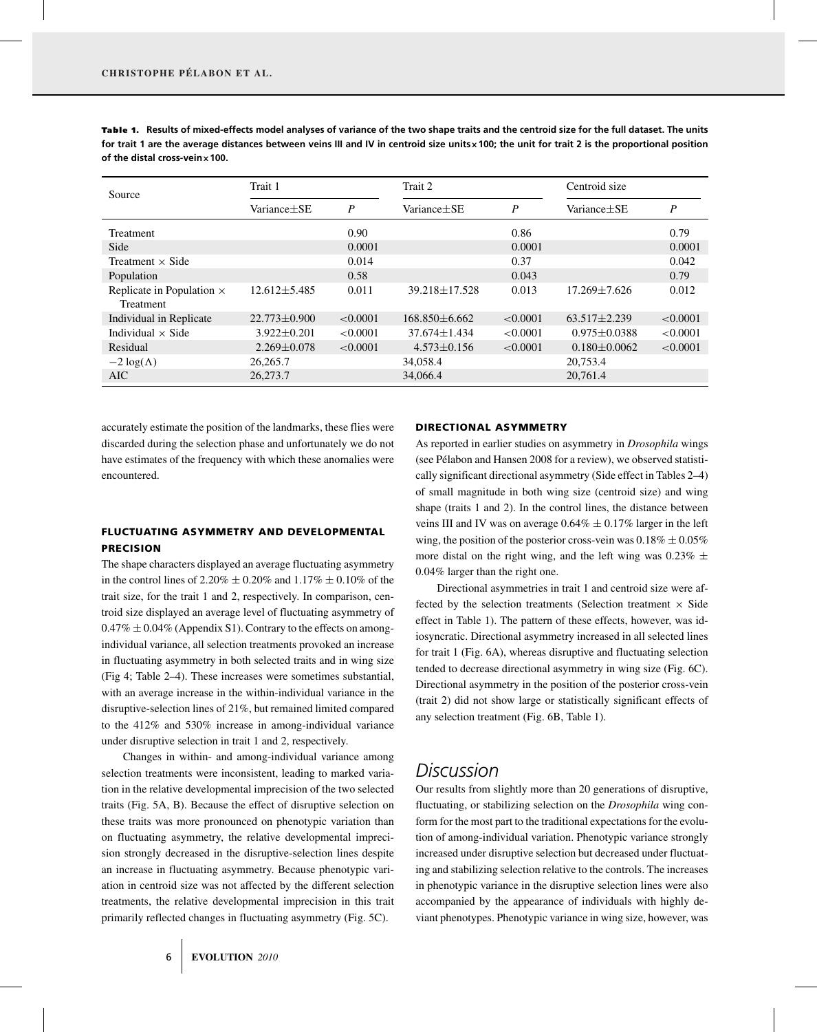| Source                                        | Trait 1            |                  | Trait 2             |                  | Centroid size      |                  |  |
|-----------------------------------------------|--------------------|------------------|---------------------|------------------|--------------------|------------------|--|
|                                               | Variance ± SE      | $\boldsymbol{P}$ | Variance ± SE       | $\boldsymbol{P}$ | Variance±SE        | $\boldsymbol{P}$ |  |
| Treatment                                     |                    | 0.90             |                     | 0.86             |                    | 0.79             |  |
| Side                                          |                    | 0.0001           |                     | 0.0001           |                    | 0.0001           |  |
| Treatment $\times$ Side                       |                    | 0.014            |                     | 0.37             |                    | 0.042            |  |
| Population                                    |                    | 0.58             |                     | 0.043            |                    | 0.79             |  |
| Replicate in Population $\times$<br>Treatment | $12.612 \pm 5.485$ | 0.011            | $39.218 \pm 17.528$ | 0.013            | $17.269 \pm 7.626$ | 0.012            |  |
| Individual in Replicate                       | $22.773 \pm 0.900$ | < 0.0001         | $168.850\pm 6.662$  | < 0.0001         | $63.517 \pm 2.239$ | < 0.0001         |  |
| Individual $\times$ Side                      | $3.922 \pm 0.201$  | < 0.0001         | $37.674 \pm 1.434$  | < 0.0001         | $0.975 \pm 0.0388$ | < 0.0001         |  |
| Residual                                      | $2.269 \pm 0.078$  | < 0.0001         | $4.573 \pm 0.156$   | < 0.0001         | $0.180 \pm 0.0062$ | < 0.0001         |  |
| $-2 \log(\Lambda)$                            | 26, 265.7          |                  | 34,058.4            |                  | 20,753.4           |                  |  |
| AIC                                           | 26,273.7           |                  | 34,066.4            |                  | 20.761.4           |                  |  |
|                                               |                    |                  |                     |                  |                    |                  |  |

Table 1. Results of mixed-effects model analyses of variance of the two shape traits and the centroid size for the full dataset. The units **for trait 1 are the average distances between veins III and IV in centroid size units×100; the unit for trait 2 is the proportional position of the distal cross-vein×100.**

accurately estimate the position of the landmarks, these flies were discarded during the selection phase and unfortunately we do not have estimates of the frequency with which these anomalies were encountered.

### FLUCTUATING ASYMMETRY AND DEVELOPMENTAL PRECISION

The shape characters displayed an average fluctuating asymmetry in the control lines of  $2.20\% \pm 0.20\%$  and  $1.17\% \pm 0.10\%$  of the trait size, for the trait 1 and 2, respectively. In comparison, centroid size displayed an average level of fluctuating asymmetry of  $0.47\% \pm 0.04\%$  (Appendix S1). Contrary to the effects on amongindividual variance, all selection treatments provoked an increase in fluctuating asymmetry in both selected traits and in wing size (Fig 4; Table 2–4). These increases were sometimes substantial, with an average increase in the within-individual variance in the disruptive-selection lines of 21%, but remained limited compared to the 412% and 530% increase in among-individual variance under disruptive selection in trait 1 and 2, respectively.

Changes in within- and among-individual variance among selection treatments were inconsistent, leading to marked variation in the relative developmental imprecision of the two selected traits (Fig. 5A, B). Because the effect of disruptive selection on these traits was more pronounced on phenotypic variation than on fluctuating asymmetry, the relative developmental imprecision strongly decreased in the disruptive-selection lines despite an increase in fluctuating asymmetry. Because phenotypic variation in centroid size was not affected by the different selection treatments, the relative developmental imprecision in this trait primarily reflected changes in fluctuating asymmetry (Fig. 5C).

#### DIRECTIONAL ASYMMETRY

As reported in earlier studies on asymmetry in *Drosophila* wings (see Pélabon and Hansen 2008 for a review), we observed statistically significant directional asymmetry (Side effect in Tables 2–4) of small magnitude in both wing size (centroid size) and wing shape (traits 1 and 2). In the control lines, the distance between veins III and IV was on average  $0.64\% \pm 0.17\%$  larger in the left wing, the position of the posterior cross-vein was  $0.18\% \pm 0.05\%$ more distal on the right wing, and the left wing was  $0.23\% \pm$ 0.04% larger than the right one.

Directional asymmetries in trait 1 and centroid size were affected by the selection treatments (Selection treatment  $\times$  Side effect in Table 1). The pattern of these effects, however, was idiosyncratic. Directional asymmetry increased in all selected lines for trait 1 (Fig. 6A), whereas disruptive and fluctuating selection tended to decrease directional asymmetry in wing size (Fig. 6C). Directional asymmetry in the position of the posterior cross-vein (trait 2) did not show large or statistically significant effects of any selection treatment (Fig. 6B, Table 1).

### *Discussion*

Our results from slightly more than 20 generations of disruptive, fluctuating, or stabilizing selection on the *Drosophila* wing conform for the most part to the traditional expectations for the evolution of among-individual variation. Phenotypic variance strongly increased under disruptive selection but decreased under fluctuating and stabilizing selection relative to the controls. The increases in phenotypic variance in the disruptive selection lines were also accompanied by the appearance of individuals with highly deviant phenotypes. Phenotypic variance in wing size, however, was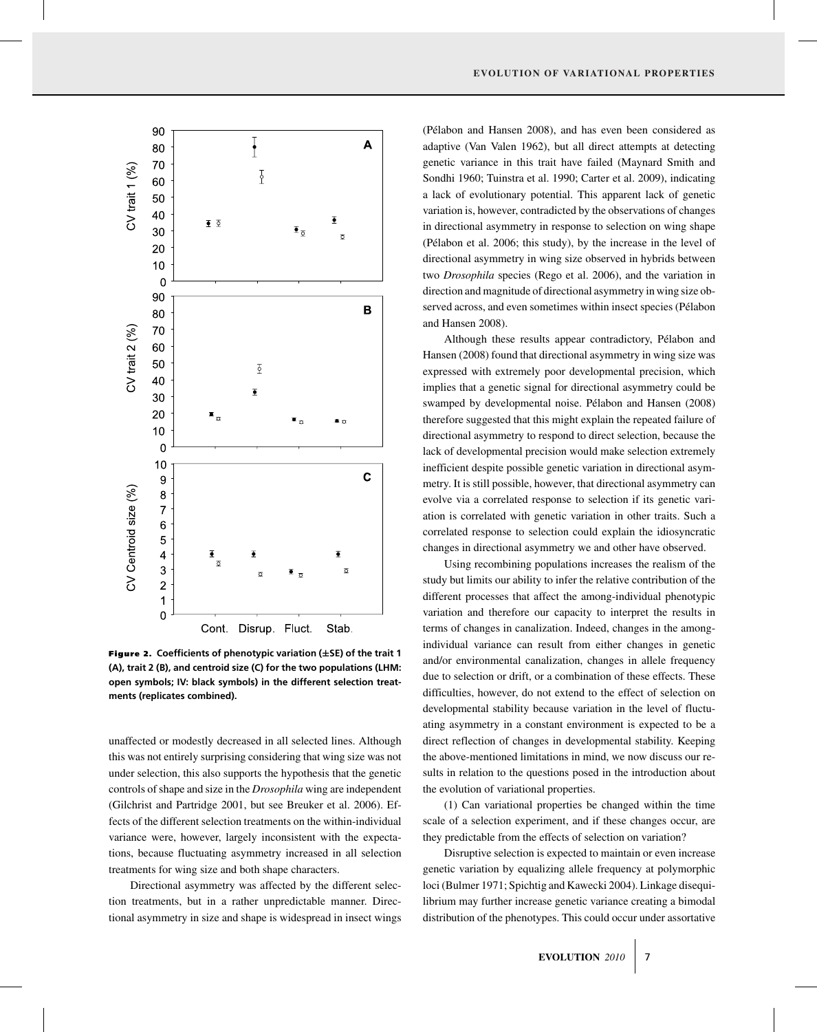

Figure 2. **Coefficients of phenotypic variation (±SE) of the trait 1 (A), trait 2 (B), and centroid size (C) for the two populations (LHM: open symbols; IV: black symbols) in the different selection treatments (replicates combined).**

unaffected or modestly decreased in all selected lines. Although this was not entirely surprising considering that wing size was not under selection, this also supports the hypothesis that the genetic controls of shape and size in the *Drosophila* wing are independent (Gilchrist and Partridge 2001, but see Breuker et al. 2006). Effects of the different selection treatments on the within-individual variance were, however, largely inconsistent with the expectations, because fluctuating asymmetry increased in all selection treatments for wing size and both shape characters.

Directional asymmetry was affected by the different selection treatments, but in a rather unpredictable manner. Directional asymmetry in size and shape is widespread in insect wings (Pelabon and Hansen 2008), and has even been considered as ´ adaptive (Van Valen 1962), but all direct attempts at detecting genetic variance in this trait have failed (Maynard Smith and Sondhi 1960; Tuinstra et al. 1990; Carter et al. 2009), indicating a lack of evolutionary potential. This apparent lack of genetic variation is, however, contradicted by the observations of changes in directional asymmetry in response to selection on wing shape (Pélabon et al. 2006; this study), by the increase in the level of directional asymmetry in wing size observed in hybrids between two *Drosophila* species (Rego et al. 2006), and the variation in direction and magnitude of directional asymmetry in wing size observed across, and even sometimes within insect species (Pélabon and Hansen 2008).

Although these results appear contradictory, Pélabon and Hansen (2008) found that directional asymmetry in wing size was expressed with extremely poor developmental precision, which implies that a genetic signal for directional asymmetry could be swamped by developmental noise. Pélabon and Hansen (2008) therefore suggested that this might explain the repeated failure of directional asymmetry to respond to direct selection, because the lack of developmental precision would make selection extremely inefficient despite possible genetic variation in directional asymmetry. It is still possible, however, that directional asymmetry can evolve via a correlated response to selection if its genetic variation is correlated with genetic variation in other traits. Such a correlated response to selection could explain the idiosyncratic changes in directional asymmetry we and other have observed.

Using recombining populations increases the realism of the study but limits our ability to infer the relative contribution of the different processes that affect the among-individual phenotypic variation and therefore our capacity to interpret the results in terms of changes in canalization. Indeed, changes in the amongindividual variance can result from either changes in genetic and/or environmental canalization, changes in allele frequency due to selection or drift, or a combination of these effects. These difficulties, however, do not extend to the effect of selection on developmental stability because variation in the level of fluctuating asymmetry in a constant environment is expected to be a direct reflection of changes in developmental stability. Keeping the above-mentioned limitations in mind, we now discuss our results in relation to the questions posed in the introduction about the evolution of variational properties.

(1) Can variational properties be changed within the time scale of a selection experiment, and if these changes occur, are they predictable from the effects of selection on variation?

Disruptive selection is expected to maintain or even increase genetic variation by equalizing allele frequency at polymorphic loci (Bulmer 1971; Spichtig and Kawecki 2004). Linkage disequilibrium may further increase genetic variance creating a bimodal distribution of the phenotypes. This could occur under assortative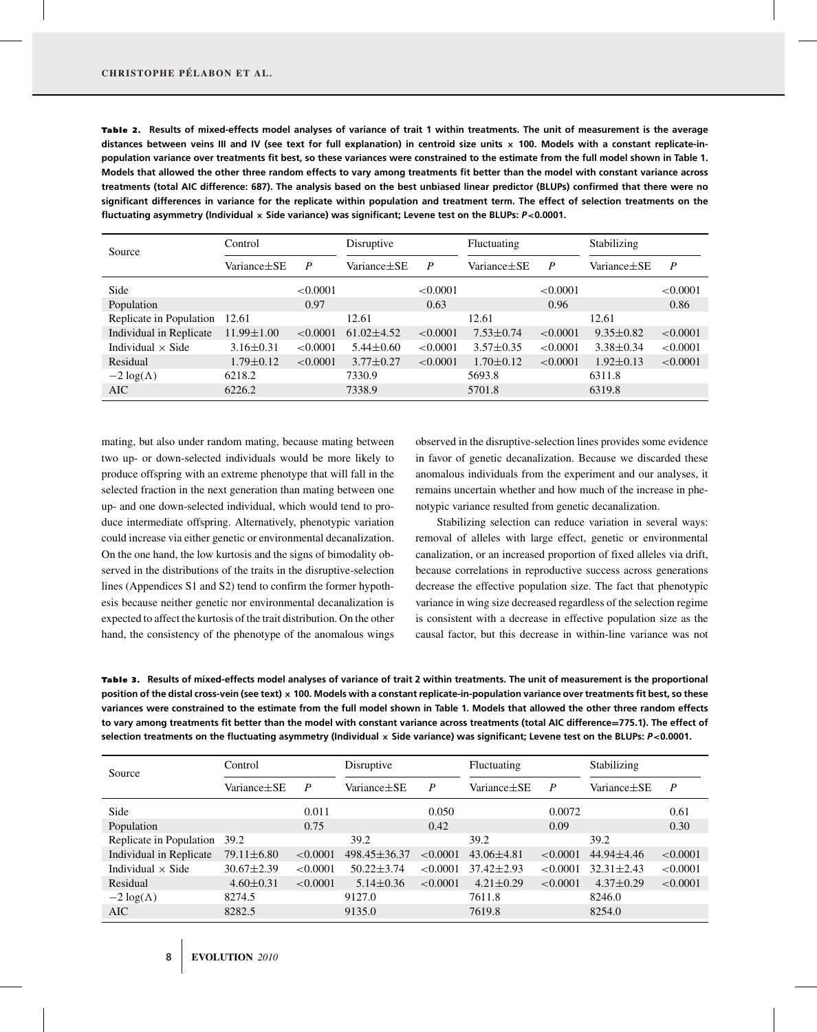Table 2. Results of mixed-effects model analyses of variance of trait 1 within treatments. The unit of measurement is the average **distances between veins III and IV (see text for full explanation) in centroid size units × 100. Models with a constant replicate-inpopulation variance over treatments fit best, so these variances were constrained to the estimate from the full model shown in Table 1. Models that allowed the other three random effects to vary among treatments fit better than the model with constant variance across treatments (total AIC difference: 687). The analysis based on the best unbiased linear predictor (BLUPs) confirmed that there were no significant differences in variance for the replicate within population and treatment term. The effect of selection treatments on the fluctuating asymmetry (Individual × Side variance) was significant; Levene test on the BLUPs:** *P***<0.0001.**

| Source                   | Control          |                  | Disruptive      |                  | Fluctuating     |                  | Stabilizing     |                  |
|--------------------------|------------------|------------------|-----------------|------------------|-----------------|------------------|-----------------|------------------|
|                          | Variance±SE      | $\boldsymbol{P}$ | Variance±SE     | $\boldsymbol{P}$ | Variance±SE     | $\boldsymbol{P}$ | Variance±SE     | $\boldsymbol{P}$ |
| Side                     |                  | < 0.0001         |                 | < 0.0001         |                 | < 0.0001         |                 | < 0.0001         |
| Population               |                  | 0.97             |                 | 0.63             |                 | 0.96             |                 | 0.86             |
| Replicate in Population  | 12.61            |                  | 12.61           |                  | 12.61           |                  | 12.61           |                  |
| Individual in Replicate  | $11.99 \pm 1.00$ | < 0.0001         | $61.02\pm4.52$  | < 0.0001         | $7.53 \pm 0.74$ | < 0.0001         | $9.35 \pm 0.82$ | < 0.0001         |
| Individual $\times$ Side | $3.16 \pm 0.31$  | < 0.0001         | $5.44 \pm 0.60$ | < 0.0001         | $3.57 \pm 0.35$ | < 0.0001         | $3.38 \pm 0.34$ | < 0.0001         |
| Residual                 | $1.79 \pm 0.12$  | < 0.0001         | $3.77 \pm 0.27$ | < 0.0001         | $1.70 \pm 0.12$ | < 0.0001         | $1.92 \pm 0.13$ | < 0.0001         |
| $-2 \log(\Lambda)$       | 6218.2           |                  | 7330.9          |                  | 5693.8          |                  | 6311.8          |                  |
| AIC                      | 6226.2           |                  | 7338.9          |                  | 5701.8          |                  | 6319.8          |                  |
|                          |                  |                  |                 |                  |                 |                  |                 |                  |

mating, but also under random mating, because mating between two up- or down-selected individuals would be more likely to produce offspring with an extreme phenotype that will fall in the selected fraction in the next generation than mating between one up- and one down-selected individual, which would tend to produce intermediate offspring. Alternatively, phenotypic variation could increase via either genetic or environmental decanalization. On the one hand, the low kurtosis and the signs of bimodality observed in the distributions of the traits in the disruptive-selection lines (Appendices S1 and S2) tend to confirm the former hypothesis because neither genetic nor environmental decanalization is expected to affect the kurtosis of the trait distribution. On the other hand, the consistency of the phenotype of the anomalous wings

observed in the disruptive-selection lines provides some evidence in favor of genetic decanalization. Because we discarded these anomalous individuals from the experiment and our analyses, it remains uncertain whether and how much of the increase in phenotypic variance resulted from genetic decanalization.

Stabilizing selection can reduce variation in several ways: removal of alleles with large effect, genetic or environmental canalization, or an increased proportion of fixed alleles via drift, because correlations in reproductive success across generations decrease the effective population size. The fact that phenotypic variance in wing size decreased regardless of the selection regime is consistent with a decrease in effective population size as the causal factor, but this decrease in within-line variance was not

Table 3. Results of mixed-effects model analyses of variance of trait 2 within treatments. The unit of measurement is the proportional **position of the distal cross-vein (see text) × 100. Models with a constant replicate-in-population variance over treatments fit best, so these variances were constrained to the estimate from the full model shown in Table 1. Models that allowed the other three random effects to vary among treatments fit better than the model with constant variance across treatments (total AIC difference=775.1). The effect of selection treatments on the fluctuating asymmetry (Individual × Side variance) was significant; Levene test on the BLUPs:** *P***<0.0001.**

| Source                   | Control          |                  | Disruptive         |                  | <b>Fluctuating</b> |                  | <b>Stabilizing</b> |                  |
|--------------------------|------------------|------------------|--------------------|------------------|--------------------|------------------|--------------------|------------------|
|                          | Variance ± SE    | $\boldsymbol{P}$ | Variance±SE        | $\boldsymbol{P}$ | Variance ± SE      | $\boldsymbol{P}$ | Variance±SE        | $\boldsymbol{P}$ |
| Side                     |                  | 0.011            |                    | 0.050            |                    | 0.0072           |                    | 0.61             |
| Population               |                  | 0.75             |                    | 0.42             |                    | 0.09             |                    | 0.30             |
| Replicate in Population  | 39.2             |                  | 39.2               |                  | 39.2               |                  | 39.2               |                  |
| Individual in Replicate  | $79.11 \pm 6.80$ | < 0.0001         | $498.45 \pm 36.37$ | < 0.0001         | $43.06 \pm 4.81$   | < 0.0001         | $44.94 \pm 4.46$   | < 0.0001         |
| Individual $\times$ Side | $30.67 \pm 2.39$ | < 0.0001         | $50.22 \pm 3.74$   | < 0.0001         | $37.42 \pm 2.93$   | < 0.0001         | $32.31 \pm 2.43$   | < 0.0001         |
| Residual                 | $4.60 \pm 0.31$  | < 0.0001         | $5.14 \pm 0.36$    | < 0.0001         | $4.21 \pm 0.29$    | < 0.0001         | $4.37 \pm 0.29$    | < 0.0001         |
| $-2 \log(\Lambda)$       | 8274.5           |                  | 9127.0             |                  | 7611.8             |                  | 8246.0             |                  |
| <b>AIC</b>               | 8282.5           |                  | 9135.0             |                  | 7619.8             |                  | 8254.0             |                  |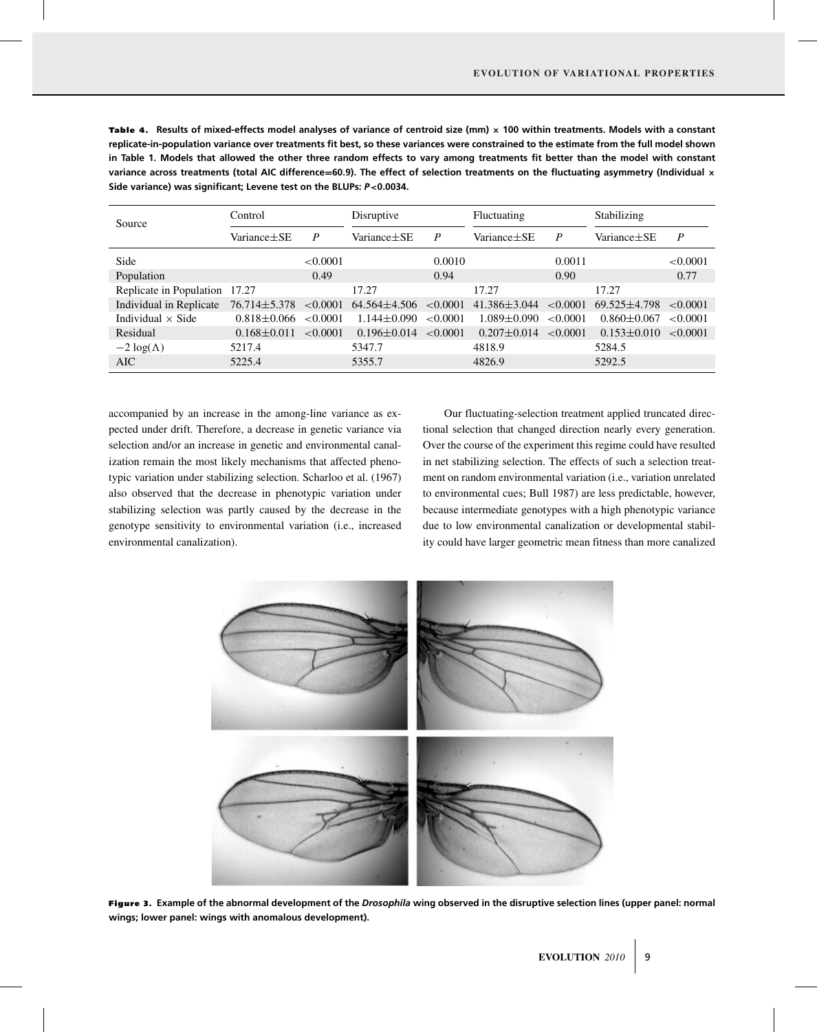| Table 4. Results of mixed-effects model analyses of variance of centroid size (mm) $\times$ 100 within treatments. Models with a constant    |
|----------------------------------------------------------------------------------------------------------------------------------------------|
| replicate-in-population variance over treatments fit best, so these variances were constrained to the estimate from the full model shown     |
| in Table 1. Models that allowed the other three random effects to vary among treatments fit better than the model with constant              |
| variance across treatments (total AIC difference=60.9). The effect of selection treatments on the fluctuating asymmetry (Individual $\times$ |
| Side variance) was significant; Levene test on the BLUPs: P<0.0034.                                                                          |

| Control            |          | Disruptive        |                  | <b>Fluctuating</b> |                  | Stabilizing        |                  |
|--------------------|----------|-------------------|------------------|--------------------|------------------|--------------------|------------------|
| Variance ± SE      | P        | Variance±SE       | $\boldsymbol{P}$ | Variance±SE        | $\boldsymbol{P}$ | Variance ± SE      | $\boldsymbol{P}$ |
|                    | < 0.0001 |                   | 0.0010           |                    | 0.0011           |                    | < 0.0001         |
|                    | 0.49     |                   | 0.94             |                    | 0.90             |                    | 0.77             |
| 17.27              |          | 17.27             |                  | 17.27              |                  | 17.27              |                  |
| $76.714 \pm 5.378$ | < 0.0001 | $64.564\pm4.506$  | ${<}0.0001$      | $41.386 \pm 3.044$ | < 0.0001         | $69.525 \pm 4.798$ | $\leq 0.0001$    |
| $0.818 \pm 0.066$  | < 0.0001 | $1.144 \pm 0.090$ | < 0.0001         | $1.089 \pm 0.090$  | < 0.0001         | $0.860 \pm 0.067$  | < 0.0001         |
| $0.168 \pm 0.011$  | < 0.0001 | $0.196 \pm 0.014$ | < 0.0001         | $0.207 \pm 0.014$  | < 0.0001         | $0.153 \pm 0.010$  | < 0.0001         |
| 5217.4             |          | 5347.7            |                  | 4818.9             |                  | 5284.5             |                  |
| 5225.4             |          | 5355.7            |                  | 4826.9             |                  | 5292.5             |                  |
|                    |          |                   |                  |                    |                  |                    |                  |

accompanied by an increase in the among-line variance as expected under drift. Therefore, a decrease in genetic variance via selection and/or an increase in genetic and environmental canalization remain the most likely mechanisms that affected phenotypic variation under stabilizing selection. Scharloo et al. (1967) also observed that the decrease in phenotypic variation under stabilizing selection was partly caused by the decrease in the genotype sensitivity to environmental variation (i.e., increased environmental canalization).

Our fluctuating-selection treatment applied truncated directional selection that changed direction nearly every generation. Over the course of the experiment this regime could have resulted in net stabilizing selection. The effects of such a selection treatment on random environmental variation (i.e., variation unrelated to environmental cues; Bull 1987) are less predictable, however, because intermediate genotypes with a high phenotypic variance due to low environmental canalization or developmental stability could have larger geometric mean fitness than more canalized



Figure 3. **Example of the abnormal development of the** *Drosophila* **wing observed in the disruptive selection lines (upper panel: normal wings; lower panel: wings with anomalous development).**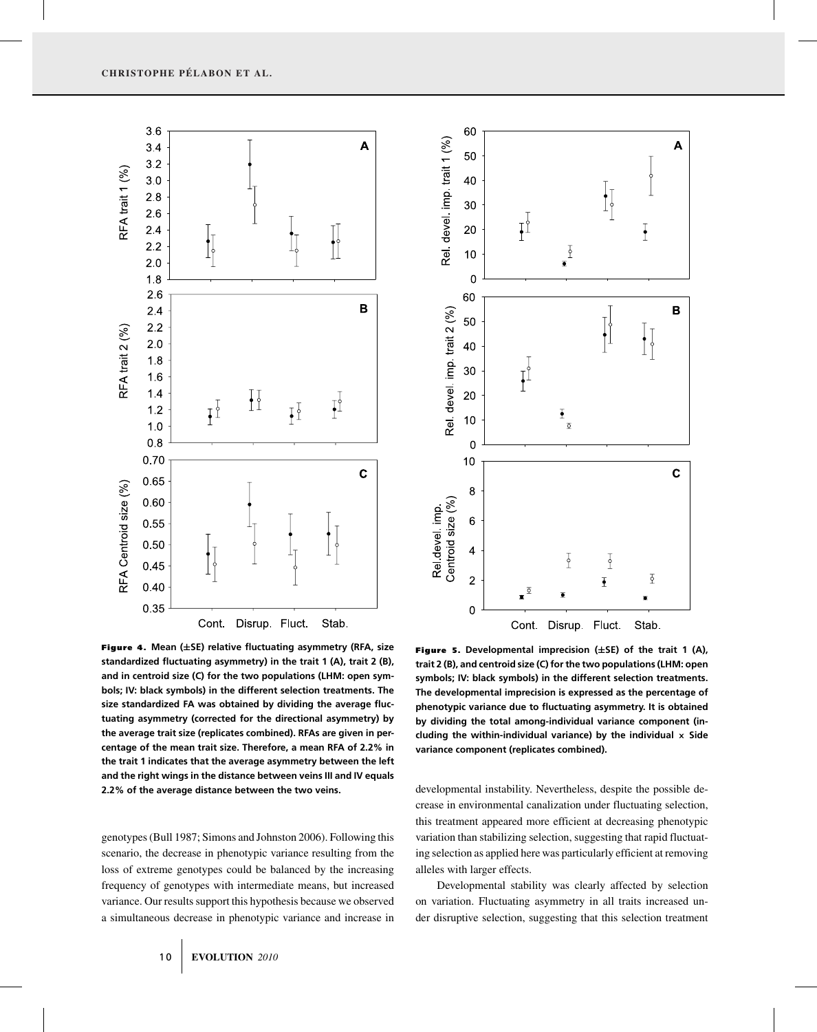



Figure 4. **Mean (±SE) relative fluctuating asymmetry (RFA, size standardized fluctuating asymmetry) in the trait 1 (A), trait 2 (B), and in centroid size (C) for the two populations (LHM: open symbols; IV: black symbols) in the different selection treatments. The size standardized FA was obtained by dividing the average fluctuating asymmetry (corrected for the directional asymmetry) by the average trait size (replicates combined). RFAs are given in percentage of the mean trait size. Therefore, a mean RFA of 2.2% in the trait 1 indicates that the average asymmetry between the left and the right wings in the distance between veins III and IV equals 2.2% of the average distance between the two veins.**

genotypes (Bull 1987; Simons and Johnston 2006). Following this scenario, the decrease in phenotypic variance resulting from the loss of extreme genotypes could be balanced by the increasing frequency of genotypes with intermediate means, but increased variance. Our results support this hypothesis because we observed a simultaneous decrease in phenotypic variance and increase in

Figure 5. **Developmental imprecision (±SE) of the trait 1 (A), trait 2 (B), and centroid size (C) for the two populations (LHM: open symbols; IV: black symbols) in the different selection treatments. The developmental imprecision is expressed as the percentage of phenotypic variance due to fluctuating asymmetry. It is obtained by dividing the total among-individual variance component (including the within-individual variance) by the individual × Side variance component (replicates combined).**

developmental instability. Nevertheless, despite the possible decrease in environmental canalization under fluctuating selection, this treatment appeared more efficient at decreasing phenotypic variation than stabilizing selection, suggesting that rapid fluctuating selection as applied here was particularly efficient at removing alleles with larger effects.

Developmental stability was clearly affected by selection on variation. Fluctuating asymmetry in all traits increased under disruptive selection, suggesting that this selection treatment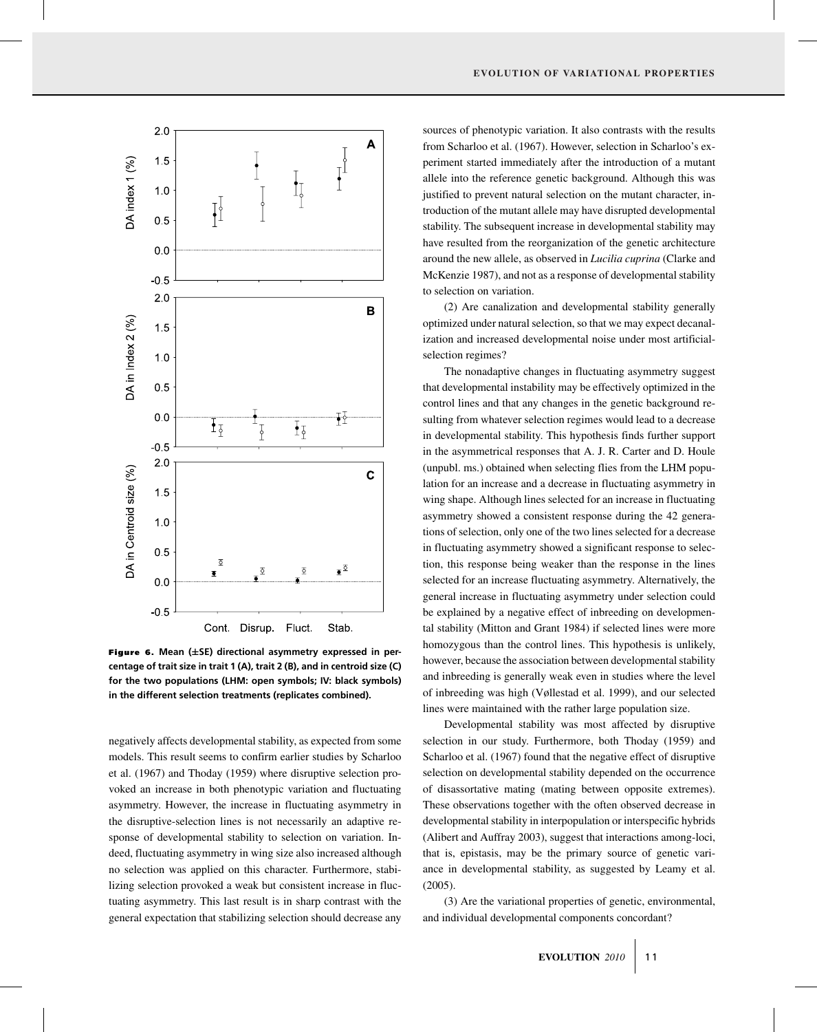

Figure 6. **Mean (±SE) directional asymmetry expressed in percentage of trait size in trait 1 (A), trait 2 (B), and in centroid size (C) for the two populations (LHM: open symbols; IV: black symbols) in the different selection treatments (replicates combined).**

negatively affects developmental stability, as expected from some models. This result seems to confirm earlier studies by Scharloo et al. (1967) and Thoday (1959) where disruptive selection provoked an increase in both phenotypic variation and fluctuating asymmetry. However, the increase in fluctuating asymmetry in the disruptive-selection lines is not necessarily an adaptive response of developmental stability to selection on variation. Indeed, fluctuating asymmetry in wing size also increased although no selection was applied on this character. Furthermore, stabilizing selection provoked a weak but consistent increase in fluctuating asymmetry. This last result is in sharp contrast with the general expectation that stabilizing selection should decrease any

sources of phenotypic variation. It also contrasts with the results from Scharloo et al. (1967). However, selection in Scharloo's experiment started immediately after the introduction of a mutant allele into the reference genetic background. Although this was justified to prevent natural selection on the mutant character, introduction of the mutant allele may have disrupted developmental stability. The subsequent increase in developmental stability may have resulted from the reorganization of the genetic architecture around the new allele, as observed in *Lucilia cuprina* (Clarke and McKenzie 1987), and not as a response of developmental stability to selection on variation.

(2) Are canalization and developmental stability generally optimized under natural selection, so that we may expect decanalization and increased developmental noise under most artificialselection regimes?

The nonadaptive changes in fluctuating asymmetry suggest that developmental instability may be effectively optimized in the control lines and that any changes in the genetic background resulting from whatever selection regimes would lead to a decrease in developmental stability. This hypothesis finds further support in the asymmetrical responses that A. J. R. Carter and D. Houle (unpubl. ms.) obtained when selecting flies from the LHM population for an increase and a decrease in fluctuating asymmetry in wing shape. Although lines selected for an increase in fluctuating asymmetry showed a consistent response during the 42 generations of selection, only one of the two lines selected for a decrease in fluctuating asymmetry showed a significant response to selection, this response being weaker than the response in the lines selected for an increase fluctuating asymmetry. Alternatively, the general increase in fluctuating asymmetry under selection could be explained by a negative effect of inbreeding on developmental stability (Mitton and Grant 1984) if selected lines were more homozygous than the control lines. This hypothesis is unlikely, however, because the association between developmental stability and inbreeding is generally weak even in studies where the level of inbreeding was high (Vøllestad et al. 1999), and our selected lines were maintained with the rather large population size.

Developmental stability was most affected by disruptive selection in our study. Furthermore, both Thoday (1959) and Scharloo et al. (1967) found that the negative effect of disruptive selection on developmental stability depended on the occurrence of disassortative mating (mating between opposite extremes). These observations together with the often observed decrease in developmental stability in interpopulation or interspecific hybrids (Alibert and Auffray 2003), suggest that interactions among-loci, that is, epistasis, may be the primary source of genetic variance in developmental stability, as suggested by Leamy et al. (2005).

(3) Are the variational properties of genetic, environmental, and individual developmental components concordant?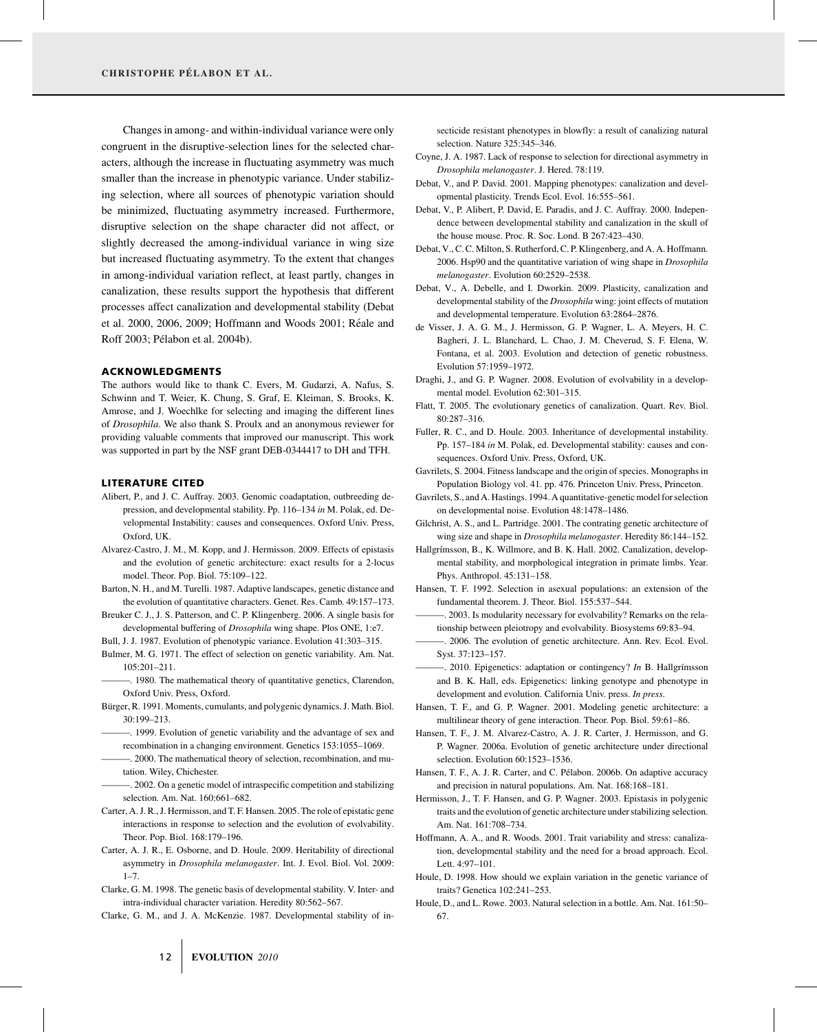Changes in among- and within-individual variance were only congruent in the disruptive-selection lines for the selected characters, although the increase in fluctuating asymmetry was much smaller than the increase in phenotypic variance. Under stabilizing selection, where all sources of phenotypic variation should be minimized, fluctuating asymmetry increased. Furthermore, disruptive selection on the shape character did not affect, or slightly decreased the among-individual variance in wing size but increased fluctuating asymmetry. To the extent that changes in among-individual variation reflect, at least partly, changes in canalization, these results support the hypothesis that different processes affect canalization and developmental stability (Debat et al. 2000, 2006, 2009; Hoffmann and Woods 2001; Reale and ´ Roff 2003; Pélabon et al. 2004b).

#### ACKNOWLEDGMENTS

The authors would like to thank C. Evers, M. Gudarzi, A. Nafus, S. Schwinn and T. Weier, K. Chung, S. Graf, E. Kleiman, S. Brooks, K. Amrose, and J. Woechlke for selecting and imaging the different lines of *Drosophila*. We also thank S. Proulx and an anonymous reviewer for providing valuable comments that improved our manuscript. This work was supported in part by the NSF grant DEB-0344417 to DH and TFH.

#### LITERATURE CITED

- Alibert, P., and J. C. Auffray. 2003. Genomic coadaptation, outbreeding depression, and developmental stability. Pp. 116–134 *in* M. Polak, ed. Developmental Instability: causes and consequences. Oxford Univ. Press, Oxford, UK.
- Alvarez-Castro, J. M., M. Kopp, and J. Hermisson. 2009. Effects of epistasis and the evolution of genetic architecture: exact results for a 2-locus model. Theor. Pop. Biol. 75:109–122.
- Barton, N. H., and M. Turelli. 1987. Adaptive landscapes, genetic distance and the evolution of quantitative characters. Genet. Res. Camb. 49:157–173.
- Breuker C. J., J. S. Patterson, and C. P. Klingenberg. 2006. A single basis for developmental buffering of *Drosophila* wing shape. Plos ONE, 1:e7.
- Bull, J. J. 1987. Evolution of phenotypic variance. Evolution 41:303–315.
- Bulmer, M. G. 1971. The effect of selection on genetic variability. Am. Nat. 105:201–211.
- ———. 1980. The mathematical theory of quantitative genetics, Clarendon, Oxford Univ. Press, Oxford.
- Burger, R. 1991. Moments, cumulants, and polygenic dynamics. J. Math. Biol. ¨ 30:199–213.
- ———. 1999. Evolution of genetic variability and the advantage of sex and recombination in a changing environment. Genetics 153:1055–1069.
- ———. 2000. The mathematical theory of selection, recombination, and mutation. Wiley, Chichester.
- ———. 2002. On a genetic model of intraspecific competition and stabilizing selection. Am. Nat. 160:661–682.
- Carter, A. J. R., J. Hermisson, and T. F. Hansen. 2005. The role of epistatic gene interactions in response to selection and the evolution of evolvability. Theor. Pop. Biol. 168:179–196.
- Carter, A. J. R., E. Osborne, and D. Houle. 2009. Heritability of directional asymmetry in *Drosophila melanogaster*. Int. J. Evol. Biol. Vol. 2009:  $1 - 7$ .
- Clarke, G. M. 1998. The genetic basis of developmental stability. V. Inter- and intra-individual character variation. Heredity 80:562–567.

Clarke, G. M., and J. A. McKenzie. 1987. Developmental stability of in-

secticide resistant phenotypes in blowfly: a result of canalizing natural selection. Nature 325:345–346.

- Coyne, J. A. 1987. Lack of response to selection for directional asymmetry in *Drosophila melanogaster*. J. Hered. 78:119.
- Debat, V., and P. David. 2001. Mapping phenotypes: canalization and developmental plasticity. Trends Ecol. Evol. 16:555–561.
- Debat, V., P. Alibert, P. David, E. Paradis, and J. C. Auffray. 2000. Independence between developmental stability and canalization in the skull of the house mouse. Proc. R. Soc. Lond. B 267:423–430.
- Debat, V., C. C. Milton, S. Rutherford, C. P. Klingenberg, and A. A. Hoffmann. 2006. Hsp90 and the quantitative variation of wing shape in *Drosophila melanogaster*. Evolution 60:2529–2538.
- Debat, V., A. Debelle, and I. Dworkin. 2009. Plasticity, canalization and developmental stability of the *Drosophila* wing: joint effects of mutation and developmental temperature. Evolution 63:2864–2876.
- de Visser, J. A. G. M., J. Hermisson, G. P. Wagner, L. A. Meyers, H. C. Bagheri, J. L. Blanchard, L. Chao, J. M. Cheverud, S. F. Elena, W. Fontana, et al. 2003. Evolution and detection of genetic robustness. Evolution 57:1959–1972.
- Draghi, J., and G. P. Wagner. 2008. Evolution of evolvability in a developmental model. Evolution 62:301–315.
- Flatt, T. 2005. The evolutionary genetics of canalization. Quart. Rev. Biol. 80:287–316.
- Fuller, R. C., and D. Houle. 2003. Inheritance of developmental instability. Pp. 157–184 *in* M. Polak, ed. Developmental stability: causes and consequences. Oxford Univ. Press, Oxford, UK.
- Gavrilets, S. 2004. Fitness landscape and the origin of species. Monographs in Population Biology vol. 41. pp. 476. Princeton Univ. Press, Princeton.
- Gavrilets, S., and A. Hastings. 1994. A quantitative-genetic model for selection on developmental noise. Evolution 48:1478–1486.
- Gilchrist, A. S., and L. Partridge. 2001. The contrating genetic architecture of wing size and shape in *Drosophila melanogaster*. Heredity 86:144–152.
- Hallgrímsson, B., K. Willmore, and B. K. Hall. 2002. Canalization, developmental stability, and morphological integration in primate limbs. Year. Phys. Anthropol. 45:131–158.

Hansen, T. F. 1992. Selection in asexual populations: an extension of the fundamental theorem. J. Theor. Biol. 155:537–544.

- ———. 2003. Is modularity necessary for evolvability? Remarks on the relationship between pleiotropy and evolvability. Biosystems 69:83–94.
- -. 2006. The evolution of genetic architecture. Ann. Rev. Ecol. Evol. Syst. 37:123–157.
- -. 2010. Epigenetics: adaptation or contingency? *In* B. Hallgrímsson and B. K. Hall, eds. Epigenetics: linking genotype and phenotype in development and evolution. California Univ. press. *In press*.
- Hansen, T. F., and G. P. Wagner. 2001. Modeling genetic architecture: a multilinear theory of gene interaction. Theor. Pop. Biol. 59:61–86.
- Hansen, T. F., J. M. Alvarez-Castro, A. J. R. Carter, J. Hermisson, and G. P. Wagner. 2006a. Evolution of genetic architecture under directional selection. Evolution 60:1523–1536.
- Hansen, T. F., A. J. R. Carter, and C. Pélabon. 2006b. On adaptive accuracy and precision in natural populations. Am. Nat. 168:168–181.
- Hermisson, J., T. F. Hansen, and G. P. Wagner. 2003. Epistasis in polygenic traits and the evolution of genetic architecture under stabilizing selection. Am. Nat. 161:708–734.
- Hoffmann, A. A., and R. Woods. 2001. Trait variability and stress: canalization, developmental stability and the need for a broad approach. Ecol. Lett. 4:97–101.
- Houle, D. 1998. How should we explain variation in the genetic variance of traits? Genetica 102:241–253.
- Houle, D., and L. Rowe. 2003. Natural selection in a bottle. Am. Nat. 161:50– 67.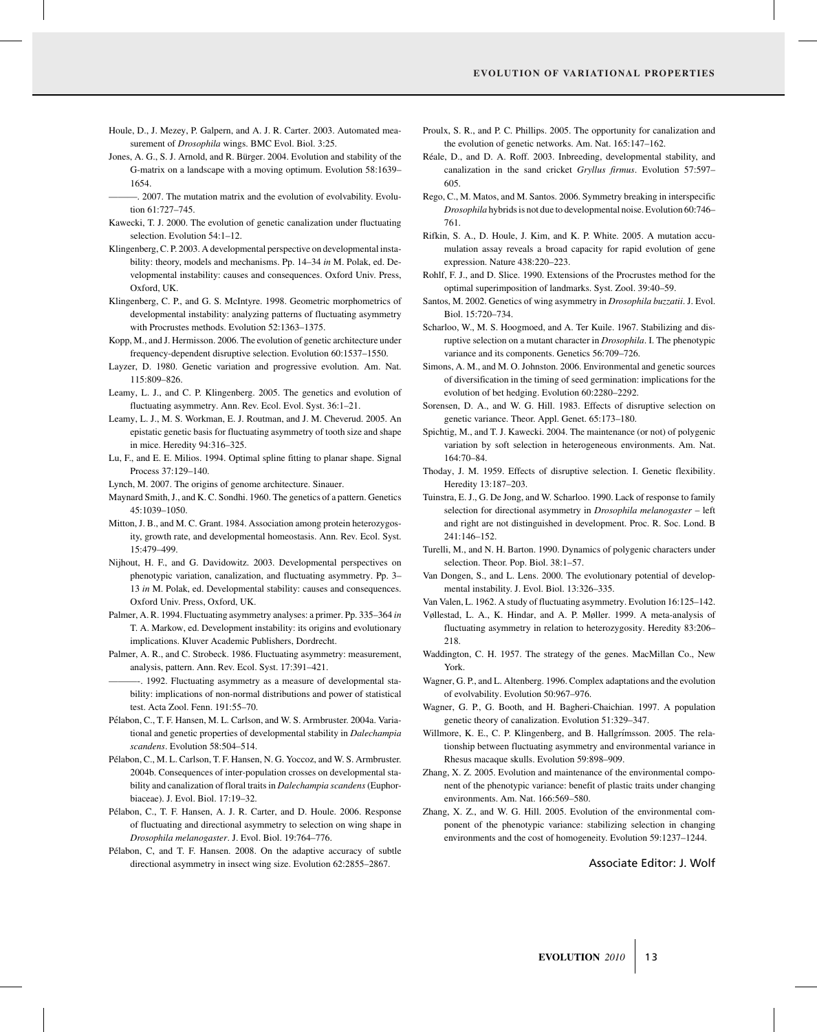- Houle, D., J. Mezey, P. Galpern, and A. J. R. Carter. 2003. Automated measurement of *Drosophila* wings. BMC Evol. Biol. 3:25.
- Jones, A. G., S. J. Arnold, and R. Bürger. 2004. Evolution and stability of the G-matrix on a landscape with a moving optimum. Evolution 58:1639– 1654.

———. 2007. The mutation matrix and the evolution of evolvability. Evolution 61:727–745.

- Kawecki, T. J. 2000. The evolution of genetic canalization under fluctuating selection. Evolution 54:1–12.
- Klingenberg, C. P. 2003. A developmental perspective on developmental instability: theory, models and mechanisms. Pp. 14–34 *in* M. Polak, ed. Developmental instability: causes and consequences. Oxford Univ. Press, Oxford, UK.
- Klingenberg, C. P., and G. S. McIntyre. 1998. Geometric morphometrics of developmental instability: analyzing patterns of fluctuating asymmetry with Procrustes methods. Evolution 52:1363–1375.
- Kopp, M., and J. Hermisson. 2006. The evolution of genetic architecture under frequency-dependent disruptive selection. Evolution 60:1537–1550.
- Layzer, D. 1980. Genetic variation and progressive evolution. Am. Nat. 115:809–826.
- Leamy, L. J., and C. P. Klingenberg. 2005. The genetics and evolution of fluctuating asymmetry. Ann. Rev. Ecol. Evol. Syst. 36:1–21.
- Leamy, L. J., M. S. Workman, E. J. Routman, and J. M. Cheverud. 2005. An epistatic genetic basis for fluctuating asymmetry of tooth size and shape in mice. Heredity 94:316–325.
- Lu, F., and E. E. Milios. 1994. Optimal spline fitting to planar shape. Signal Process 37:129–140.
- Lynch, M. 2007. The origins of genome architecture. Sinauer.
- Maynard Smith, J., and K. C. Sondhi. 1960. The genetics of a pattern. Genetics 45:1039–1050.
- Mitton, J. B., and M. C. Grant. 1984. Association among protein heterozygosity, growth rate, and developmental homeostasis. Ann. Rev. Ecol. Syst. 15:479–499.
- Nijhout, H. F., and G. Davidowitz. 2003. Developmental perspectives on phenotypic variation, canalization, and fluctuating asymmetry. Pp. 3– 13 *in* M. Polak, ed. Developmental stability: causes and consequences. Oxford Univ. Press, Oxford, UK.
- Palmer, A. R. 1994. Fluctuating asymmetry analyses: a primer. Pp. 335–364 *in* T. A. Markow, ed. Development instability: its origins and evolutionary implications. Kluver Academic Publishers, Dordrecht.
- Palmer, A. R., and C. Strobeck. 1986. Fluctuating asymmetry: measurement, analysis, pattern. Ann. Rev. Ecol. Syst. 17:391–421.
	- -. 1992. Fluctuating asymmetry as a measure of developmental stability: implications of non-normal distributions and power of statistical test. Acta Zool. Fenn. 191:55–70.
- Pélabon, C., T. F. Hansen, M. L. Carlson, and W. S. Armbruster. 2004a. Variational and genetic properties of developmental stability in *Dalechampia scandens*. Evolution 58:504–514.
- Pélabon, C., M. L. Carlson, T. F. Hansen, N. G. Yoccoz, and W. S. Armbruster. 2004b. Consequences of inter-population crosses on developmental stability and canalization of floral traits in *Dalechampia scandens*(Euphorbiaceae). J. Evol. Biol. 17:19–32.
- Pélabon, C., T. F. Hansen, A. J. R. Carter, and D. Houle. 2006. Response of fluctuating and directional asymmetry to selection on wing shape in *Drosophila melanogaster*. J. Evol. Biol. 19:764–776.
- Pélabon, C, and T. F. Hansen. 2008. On the adaptive accuracy of subtle directional asymmetry in insect wing size. Evolution 62:2855–2867.
- Proulx, S. R., and P. C. Phillips. 2005. The opportunity for canalization and the evolution of genetic networks. Am. Nat. 165:147–162.
- Réale, D., and D. A. Roff. 2003. Inbreeding, developmental stability, and canalization in the sand cricket *Gryllus firmus*. Evolution 57:597– 605.
- Rego, C., M. Matos, and M. Santos. 2006. Symmetry breaking in interspecific *Drosophila* hybrids is not due to developmental noise. Evolution 60:746– 761.
- Rifkin, S. A., D. Houle, J. Kim, and K. P. White. 2005. A mutation accumulation assay reveals a broad capacity for rapid evolution of gene expression. Nature 438:220–223.
- Rohlf, F. J., and D. Slice. 1990. Extensions of the Procrustes method for the optimal superimposition of landmarks. Syst. Zool. 39:40–59.
- Santos, M. 2002. Genetics of wing asymmetry in *Drosophila buzzatii*. J. Evol. Biol. 15:720–734.
- Scharloo, W., M. S. Hoogmoed, and A. Ter Kuile. 1967. Stabilizing and disruptive selection on a mutant character in *Drosophila*. I. The phenotypic variance and its components. Genetics 56:709–726.
- Simons, A. M., and M. O. Johnston. 2006. Environmental and genetic sources of diversification in the timing of seed germination: implications for the evolution of bet hedging. Evolution 60:2280–2292.
- Sorensen, D. A., and W. G. Hill. 1983. Effects of disruptive selection on genetic variance. Theor. Appl. Genet. 65:173–180.
- Spichtig, M., and T. J. Kawecki. 2004. The maintenance (or not) of polygenic variation by soft selection in heterogeneous environments. Am. Nat. 164:70–84.
- Thoday, J. M. 1959. Effects of disruptive selection. I. Genetic flexibility. Heredity 13:187–203.
- Tuinstra, E. J., G. De Jong, and W. Scharloo. 1990. Lack of response to family selection for directional asymmetry in *Drosophila melanogaster* – left and right are not distinguished in development. Proc. R. Soc. Lond. B 241:146–152.
- Turelli, M., and N. H. Barton. 1990. Dynamics of polygenic characters under selection. Theor. Pop. Biol. 38:1–57.
- Van Dongen, S., and L. Lens. 2000. The evolutionary potential of developmental instability. J. Evol. Biol. 13:326–335.
- Van Valen, L. 1962. A study of fluctuating asymmetry. Evolution 16:125–142.
- Vøllestad, L. A., K. Hindar, and A. P. Møller. 1999. A meta-analysis of fluctuating asymmetry in relation to heterozygosity. Heredity 83:206– 218.
- Waddington, C. H. 1957. The strategy of the genes. MacMillan Co., New York.
- Wagner, G. P., and L. Altenberg. 1996. Complex adaptations and the evolution of evolvability. Evolution 50:967–976.
- Wagner, G. P., G. Booth, and H. Bagheri-Chaichian. 1997. A population genetic theory of canalization. Evolution 51:329–347.
- Willmore, K. E., C. P. Klingenberg, and B. Hallgrímsson. 2005. The relationship between fluctuating asymmetry and environmental variance in Rhesus macaque skulls. Evolution 59:898–909.
- Zhang, X. Z. 2005. Evolution and maintenance of the environmental component of the phenotypic variance: benefit of plastic traits under changing environments. Am. Nat. 166:569–580.
- Zhang, X. Z., and W. G. Hill. 2005. Evolution of the environmental component of the phenotypic variance: stabilizing selection in changing environments and the cost of homogeneity. Evolution 59:1237–1244.

Associate Editor: J. Wolf